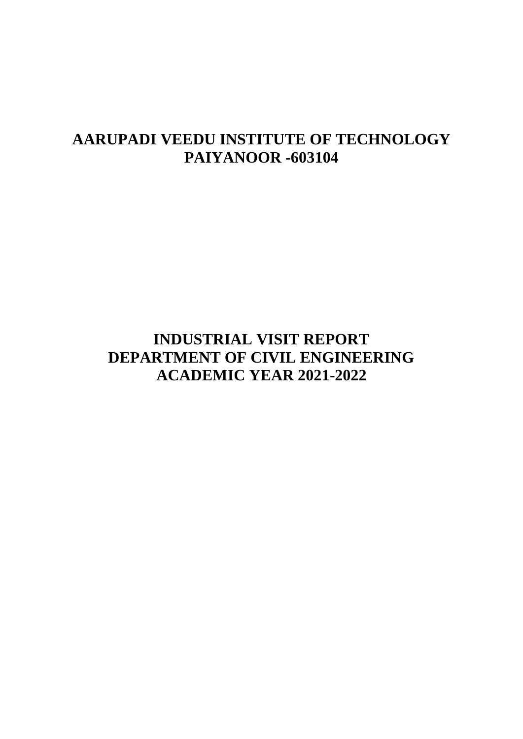# **AARUPADI VEEDU INSTITUTE OF TECHNOLOGY PAIYANOOR -603104**

# **INDUSTRIAL VISIT REPORT DEPARTMENT OF CIVIL ENGINEERING ACADEMIC YEAR 2021-2022**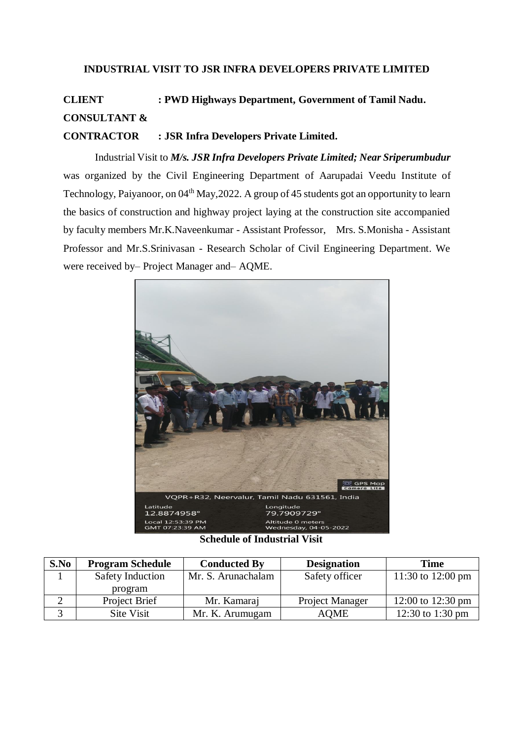## **INDUSTRIAL VISIT TO JSR INFRA DEVELOPERS PRIVATE LIMITED**

# **CLIENT : PWD Highways Department, Government of Tamil Nadu. CONSULTANT &**

**CONTRACTOR : JSR Infra Developers Private Limited.**

Industrial Visit to *M/s. JSR Infra Developers Private Limited; Near Sriperumbudur*  was organized by the Civil Engineering Department of Aarupadai Veedu Institute of Technology, Paiyanoor, on 04<sup>th</sup> May, 2022. A group of 45 students got an opportunity to learn the basics of construction and highway project laying at the construction site accompanied by faculty members Mr.K.Naveenkumar - Assistant Professor, Mrs. S.Monisha - Assistant Professor and Mr.S.Srinivasan - Research Scholar of Civil Engineering Department. We were received by– Project Manager and– AQME.



#### **Schedule of Industrial Visit**

| S.No | <b>Program Schedule</b> | <b>Conducted By</b> | <b>Designation</b> | <b>Time</b>       |
|------|-------------------------|---------------------|--------------------|-------------------|
|      | <b>Safety Induction</b> | Mr. S. Arunachalam  | Safety officer     | 11:30 to 12:00 pm |
|      | program                 |                     |                    |                   |
|      | Project Brief           | Mr. Kamaraj         | Project Manager    | 12:00 to 12:30 pm |
|      | Site Visit              | Mr. K. Arumugam     | <b>AOME</b>        | 12:30 to 1:30 pm  |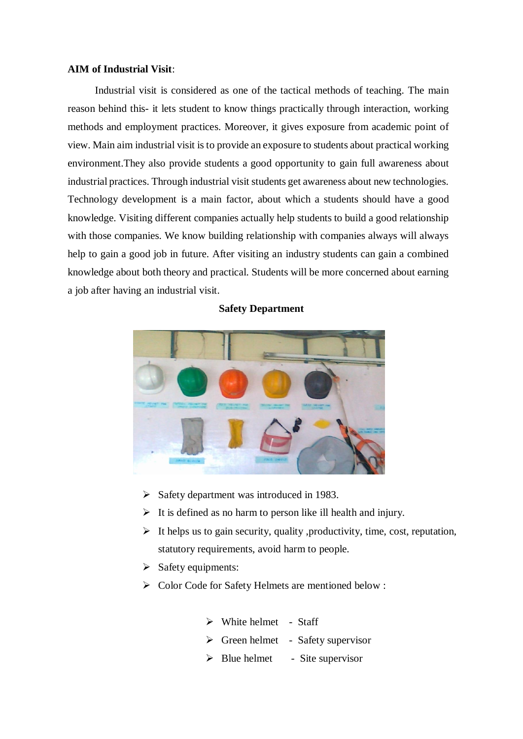#### **AIM of Industrial Visit**:

Industrial visit is considered as one of the tactical methods of teaching. The main reason behind this- it lets student to know things practically through interaction, working methods and employment practices. Moreover, it gives exposure from academic point of view. Main aim industrial visit is to provide an exposure to students about practical working environment.They also provide students a good opportunity to gain full awareness about industrial practices. Through industrial visit students get awareness about new technologies. Technology development is a main factor, about which a students should have a good knowledge. Visiting different companies actually help students to build a good relationship with those companies. We know building relationship with companies always will always help to gain a good job in future. After visiting an industry students can gain a combined knowledge about both theory and practical. Students will be more concerned about earning a job after having an industrial visit.

#### **Safety Department**



- $\triangleright$  Safety department was introduced in 1983.
- $\triangleright$  It is defined as no harm to person like ill health and injury.
- $\triangleright$  It helps us to gain security, quality , productivity, time, cost, reputation, statutory requirements, avoid harm to people.
- $\triangleright$  Safety equipments:
- > Color Code for Safety Helmets are mentioned below :
	- $\triangleright$  White helmet Staff
	- $\triangleright$  Green helmet Safety supervisor
	- $\triangleright$  Blue helmet Site supervisor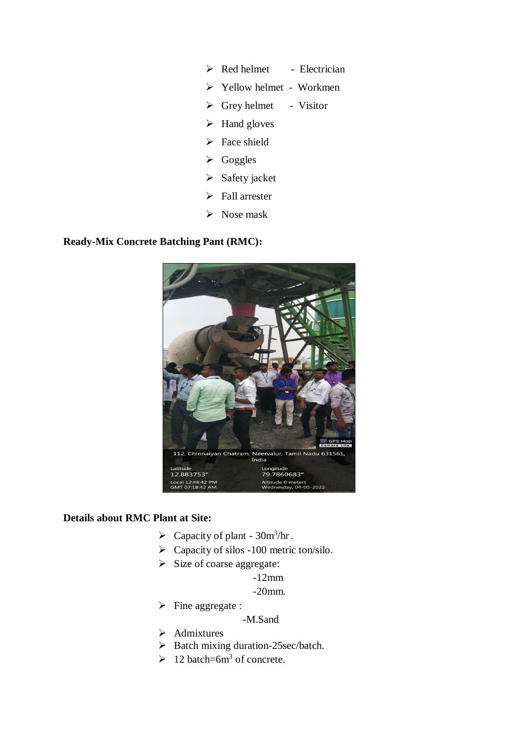- $\triangleright$  Red helmet Electrician
- Yellow helmet Workmen
- $\triangleright$  Grey helmet Visitor
- $\triangleright$  Hand gloves
- $\triangleright$  Face shield
- $\triangleright$  Goggles
- $\triangleright$  Safety jacket
- $\triangleright$  Fall arrester
- $\triangleright$  Nose mask

# **Ready-Mix Concrete Batching Pant (RMC):**



## **Details about RMC Plant at Site:**

- $\triangleright$  Capacity of plant 30m<sup>3</sup>/hr.
- $\triangleright$  Capacity of silos -100 metric ton/silo.
- $\triangleright$  Size of coarse aggregate:
	- -12mm

-20mm.

 $\triangleright$  Fine aggregate :

# -M.Sand

- $\triangleright$  Admixtures
- $\triangleright$  Batch mixing duration-25sec/batch.
- $\geq 12$  batch=6m<sup>3</sup> of concrete.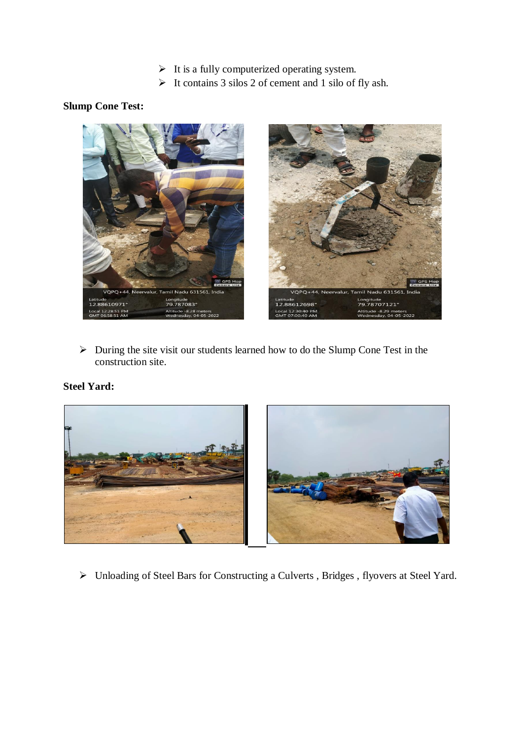- $\triangleright$  It is a fully computerized operating system.
- $\triangleright$  It contains 3 silos 2 of cement and 1 silo of fly ash.

# **Slump Cone Test:**



 $\triangleright$  During the site visit our students learned how to do the Slump Cone Test in the construction site.

# **Steel Yard:**



> Unloading of Steel Bars for Constructing a Culverts, Bridges, flyovers at Steel Yard.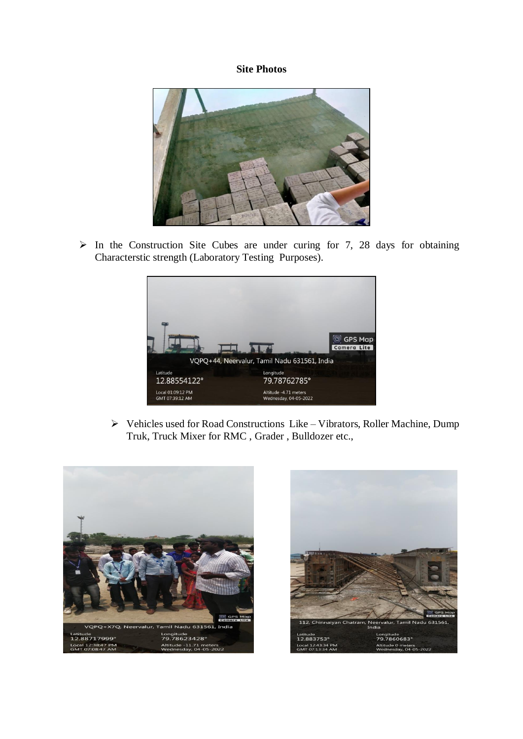## **Site Photos**



 $\triangleright$  In the Construction Site Cubes are under curing for 7, 28 days for obtaining Characterstic strength (Laboratory Testing Purposes).



 $\triangleright$  Vehicles used for Road Constructions Like – Vibrators, Roller Machine, Dump Truk, Truck Mixer for RMC , Grader , Bulldozer etc.,



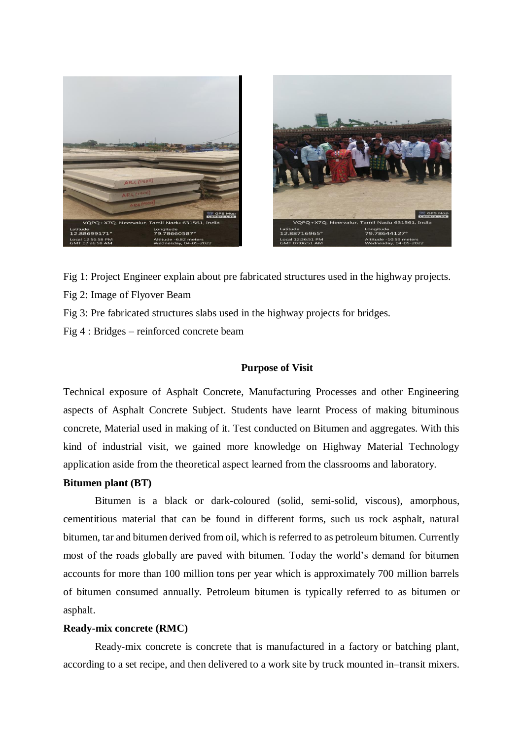



Fig 1: Project Engineer explain about pre fabricated structures used in the highway projects.

- Fig 2: Image of Flyover Beam
- Fig 3: Pre fabricated structures slabs used in the highway projects for bridges.
- Fig 4 : Bridges reinforced concrete beam

#### **Purpose of Visit**

Technical exposure of Asphalt Concrete, Manufacturing Processes and other Engineering aspects of Asphalt Concrete Subject. Students have learnt Process of making bituminous concrete, Material used in making of it. Test conducted on Bitumen and aggregates. With this kind of industrial visit, we gained more knowledge on Highway Material Technology application aside from the theoretical aspect learned from the classrooms and laboratory.

#### **Bitumen plant (BT)**

Bitumen is a black or dark-coloured (solid, semi-solid, viscous), amorphous, cementitious material that can be found in different forms, such us rock asphalt, natural bitumen, tar and bitumen derived from oil, which is referred to as petroleum bitumen. Currently most of the roads globally are paved with bitumen. Today the world's demand for bitumen accounts for more than 100 million tons per year which is approximately 700 million barrels of bitumen consumed annually. Petroleum bitumen is typically referred to as bitumen or asphalt.

#### **Ready-mix concrete (RMC)**

Ready-mix concrete is concrete that is manufactured in a factory or batching plant, according to a set recipe, and then delivered to a work site by truck mounted in–transit mixers.